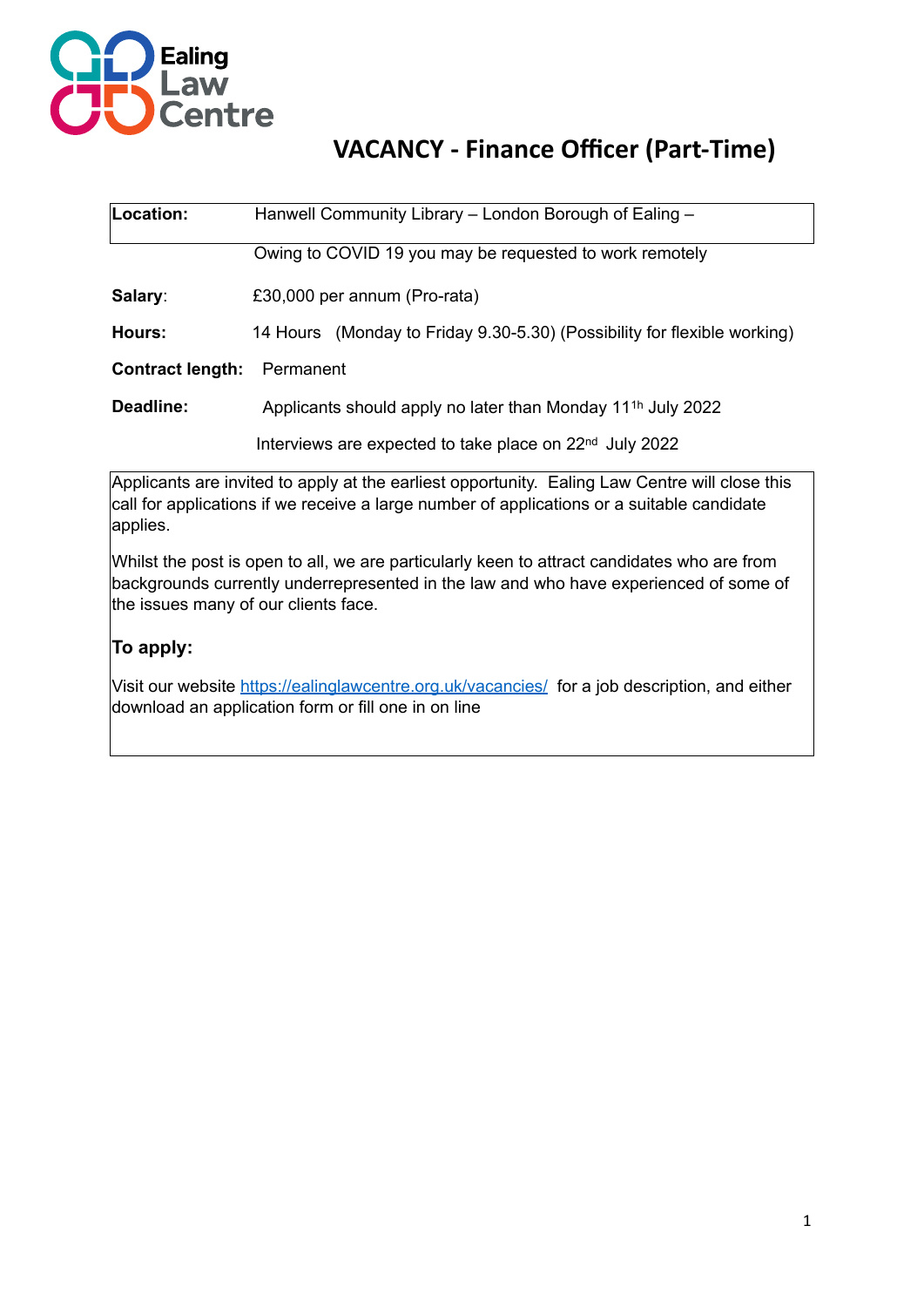

# **VACANCY - Finance Officer (Part-Time)**

| Location:               | Hanwell Community Library - London Borough of Ealing -                   |
|-------------------------|--------------------------------------------------------------------------|
|                         | Owing to COVID 19 you may be requested to work remotely                  |
| Salary:                 | £30,000 per annum (Pro-rata)                                             |
| Hours:                  | 14 Hours (Monday to Friday 9.30-5.30) (Possibility for flexible working) |
| <b>Contract length:</b> | Permanent                                                                |
| Deadline:               | Applicants should apply no later than Monday 11 <sup>th</sup> July 2022  |
|                         | Interviews are expected to take place on 22 <sup>nd</sup> July 2022      |

Applicants are invited to apply at the earliest opportunity. Ealing Law Centre will close this call for applications if we receive a large number of applications or a suitable candidate applies.

Whilst the post is open to all, we are particularly keen to attract candidates who are from backgrounds currently underrepresented in the law and who have experienced of some of the issues many of our clients face.

### **To apply:**

Visit our website <https://ealinglawcentre.org.uk/vacancies/> for a job description, and either download an application form or fill one in on line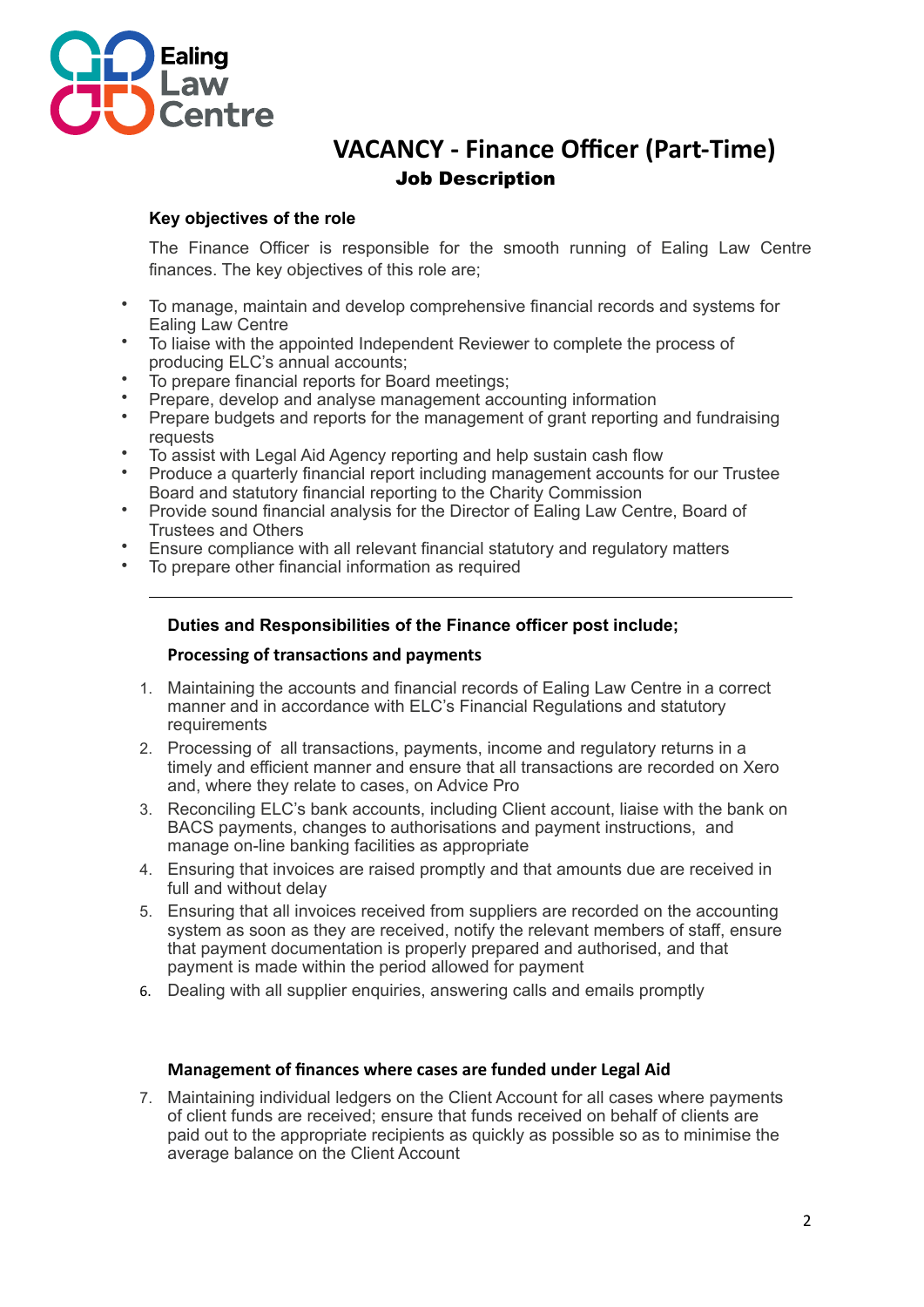

### **VACANCY - Finance Officer (Part-Time)** Job Description

#### **Key objectives of the role**

The Finance Officer is responsible for the smooth running of Ealing Law Centre finances. The key objectives of this role are;

- To manage, maintain and develop comprehensive financial records and systems for Ealing Law Centre
- To liaise with the appointed Independent Reviewer to complete the process of producing ELC's annual accounts;
- To prepare financial reports for Board meetings;
- Prepare, develop and analyse management accounting information
- Prepare budgets and reports for the management of grant reporting and fundraising requests
- To assist with Legal Aid Agency reporting and help sustain cash flow
- Produce a quarterly financial report including management accounts for our Trustee Board and statutory financial reporting to the Charity Commission
- Provide sound financial analysis for the Director of Ealing Law Centre, Board of Trustees and Others
- Ensure compliance with all relevant financial statutory and regulatory matters
- To prepare other financial information as required

#### **Duties and Responsibilities of the Finance officer post include;**

#### **Processing of transactions and payments**

- 1. Maintaining the accounts and financial records of Ealing Law Centre in a correct manner and in accordance with ELC's Financial Regulations and statutory requirements
- 2. Processing of all transactions, payments, income and regulatory returns in a timely and efficient manner and ensure that all transactions are recorded on Xero and, where they relate to cases, on Advice Pro
- 3. Reconciling ELC's bank accounts, including Client account, liaise with the bank on BACS payments, changes to authorisations and payment instructions, and manage on-line banking facilities as appropriate
- 4. Ensuring that invoices are raised promptly and that amounts due are received in full and without delay
- 5. Ensuring that all invoices received from suppliers are recorded on the accounting system as soon as they are received, notify the relevant members of staff, ensure that payment documentation is properly prepared and authorised, and that payment is made within the period allowed for payment
- 6. Dealing with all supplier enquiries, answering calls and emails promptly

#### **Management of finances where cases are funded under Legal Aid**

7. Maintaining individual ledgers on the Client Account for all cases where payments of client funds are received; ensure that funds received on behalf of clients are paid out to the appropriate recipients as quickly as possible so as to minimise the average balance on the Client Account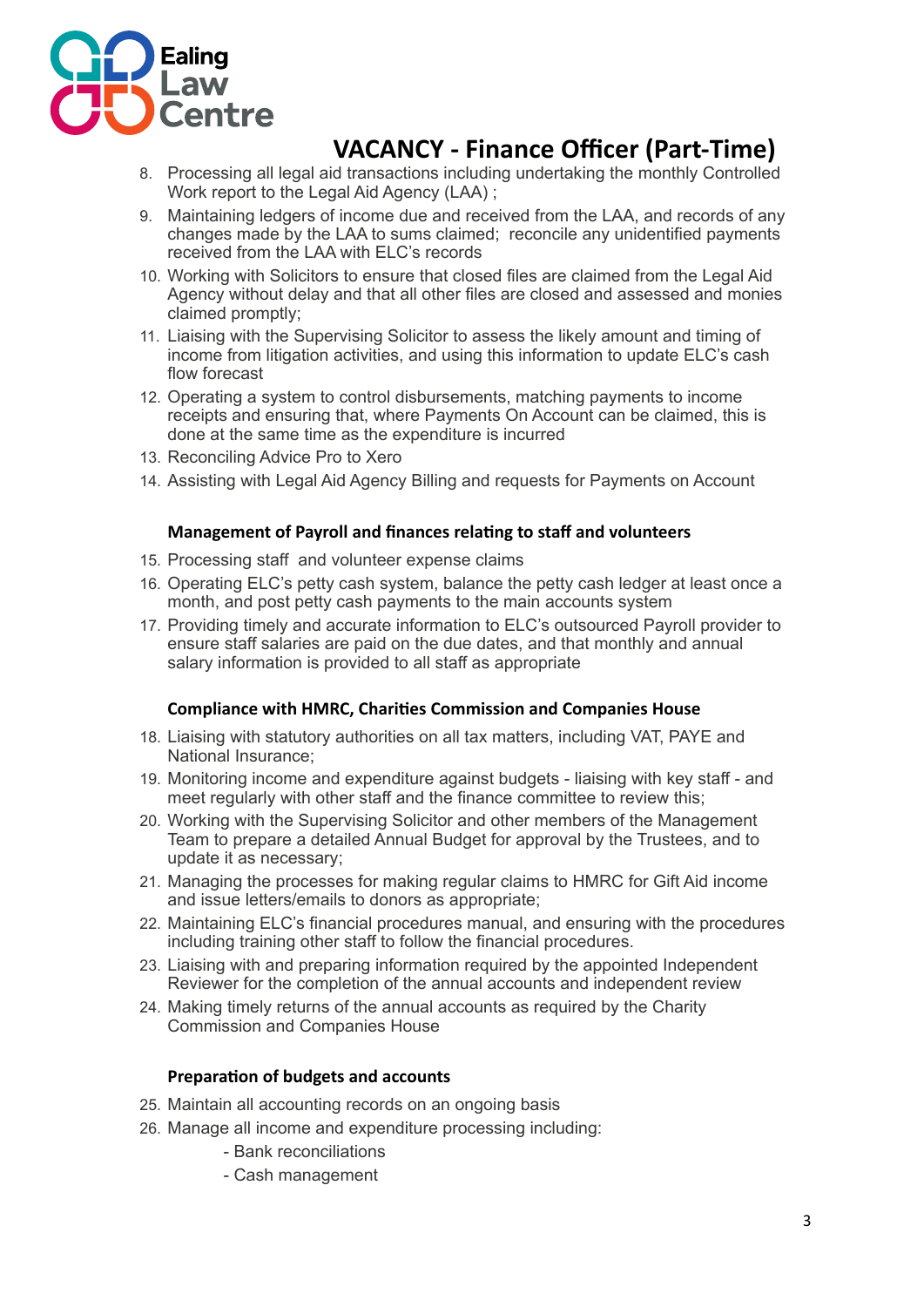

# **VACANCY - Finance Officer (Part-Time)**

- 8. Processing all legal aid transactions including undertaking the monthly Controlled Work report to the Legal Aid Agency (LAA) ;
- 9. Maintaining ledgers of income due and received from the LAA, and records of any changes made by the LAA to sums claimed; reconcile any unidentified payments received from the LAA with ELC's records
- 10. Working with Solicitors to ensure that closed files are claimed from the Legal Aid Agency without delay and that all other files are closed and assessed and monies claimed promptly;
- 11. Liaising with the Supervising Solicitor to assess the likely amount and timing of income from litigation activities, and using this information to update ELC's cash flow forecast
- 12. Operating a system to control disbursements, matching payments to income receipts and ensuring that, where Payments On Account can be claimed, this is done at the same time as the expenditure is incurred
- 13. Reconciling Advice Pro to Xero
- 14. Assisting with Legal Aid Agency Billing and requests for Payments on Account

#### **Management of Payroll and finances relating to staff and volunteers**

- 15. Processing staff and volunteer expense claims
- 16. Operating ELC's petty cash system, balance the petty cash ledger at least once a month, and post petty cash payments to the main accounts system
- 17. Providing timely and accurate information to ELC's outsourced Payroll provider to ensure staff salaries are paid on the due dates, and that monthly and annual salary information is provided to all staff as appropriate

#### **Compliance with HMRC, Charities Commission and Companies House**

- 18. Liaising with statutory authorities on all tax matters, including VAT, PAYE and National Insurance;
- 19. Monitoring income and expenditure against budgets liaising with key staff and meet regularly with other staff and the finance committee to review this:
- 20. Working with the Supervising Solicitor and other members of the Management Team to prepare a detailed Annual Budget for approval by the Trustees, and to update it as necessary;
- 21. Managing the processes for making regular claims to HMRC for Gift Aid income and issue letters/emails to donors as appropriate;
- 22. Maintaining ELC's financial procedures manual, and ensuring with the procedures including training other staff to follow the financial procedures.
- 23. Liaising with and preparing information required by the appointed Independent Reviewer for the completion of the annual accounts and independent review
- 24. Making timely returns of the annual accounts as required by the Charity Commission and Companies House

#### **Preparation of budgets and accounts**

- 25. Maintain all accounting records on an ongoing basis
- 26. Manage all income and expenditure processing including:
	- Bank reconciliations
	- Cash management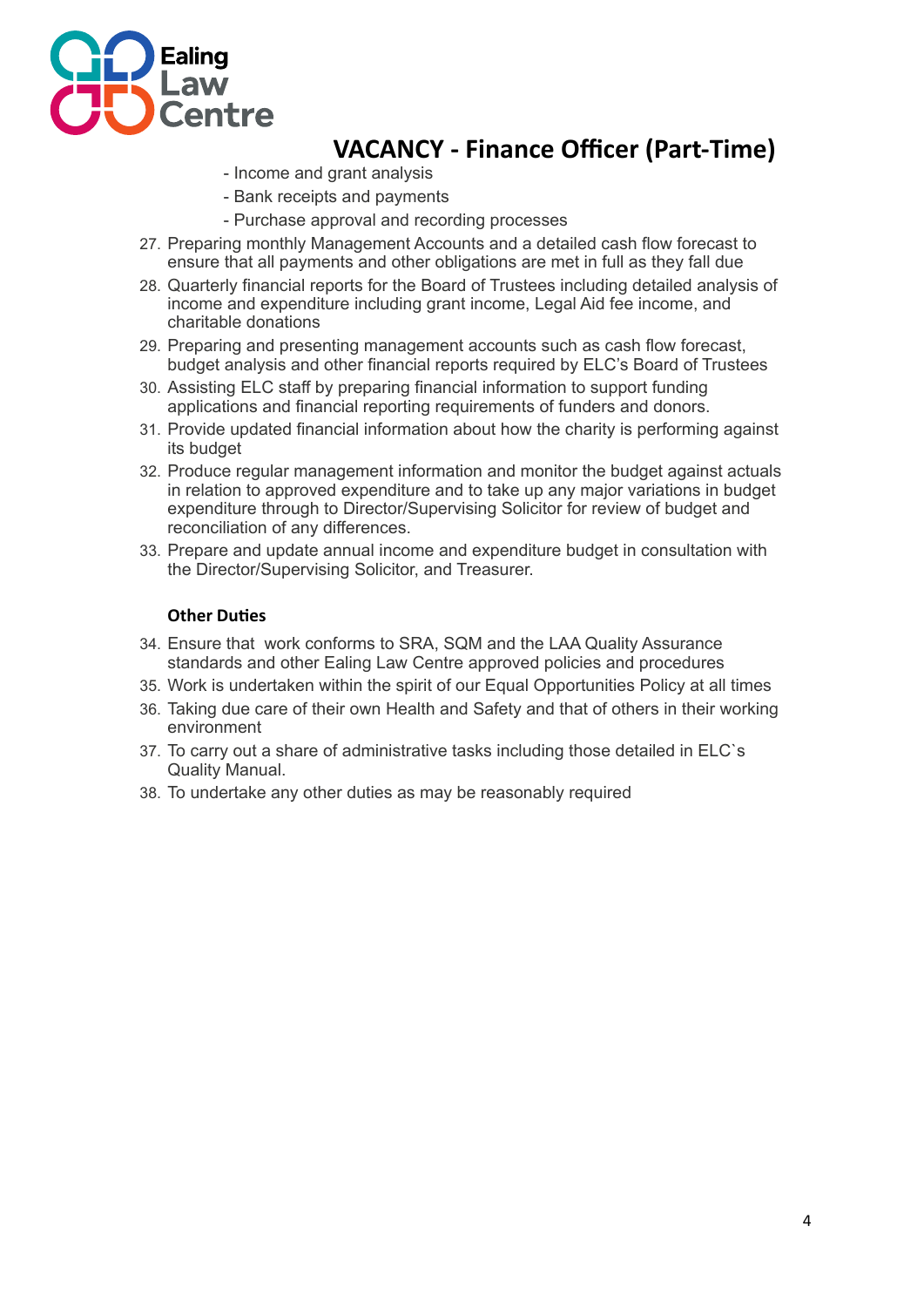

## **VACANCY - Finance Officer (Part-Time)**

- Income and grant analysis
- Bank receipts and payments
- Purchase approval and recording processes
- 27. Preparing monthly Management Accounts and a detailed cash flow forecast to ensure that all payments and other obligations are met in full as they fall due
- 28. Quarterly financial reports for the Board of Trustees including detailed analysis of income and expenditure including grant income, Legal Aid fee income, and charitable donations
- 29. Preparing and presenting management accounts such as cash flow forecast, budget analysis and other financial reports required by ELC's Board of Trustees
- 30. Assisting ELC staff by preparing financial information to support funding applications and financial reporting requirements of funders and donors.
- 31. Provide updated financial information about how the charity is performing against its budget
- 32. Produce regular management information and monitor the budget against actuals in relation to approved expenditure and to take up any major variations in budget expenditure through to Director/Supervising Solicitor for review of budget and reconciliation of any differences.
- 33. Prepare and update annual income and expenditure budget in consultation with the Director/Supervising Solicitor, and Treasurer.

#### **Other Duties**

- 34. Ensure that work conforms to SRA, SQM and the LAA Quality Assurance standards and other Ealing Law Centre approved policies and procedures
- 35. Work is undertaken within the spirit of our Equal Opportunities Policy at all times
- 36. Taking due care of their own Health and Safety and that of others in their working environment
- 37. To carry out a share of administrative tasks including those detailed in ELC`s Quality Manual.
- 38. To undertake any other duties as may be reasonably required